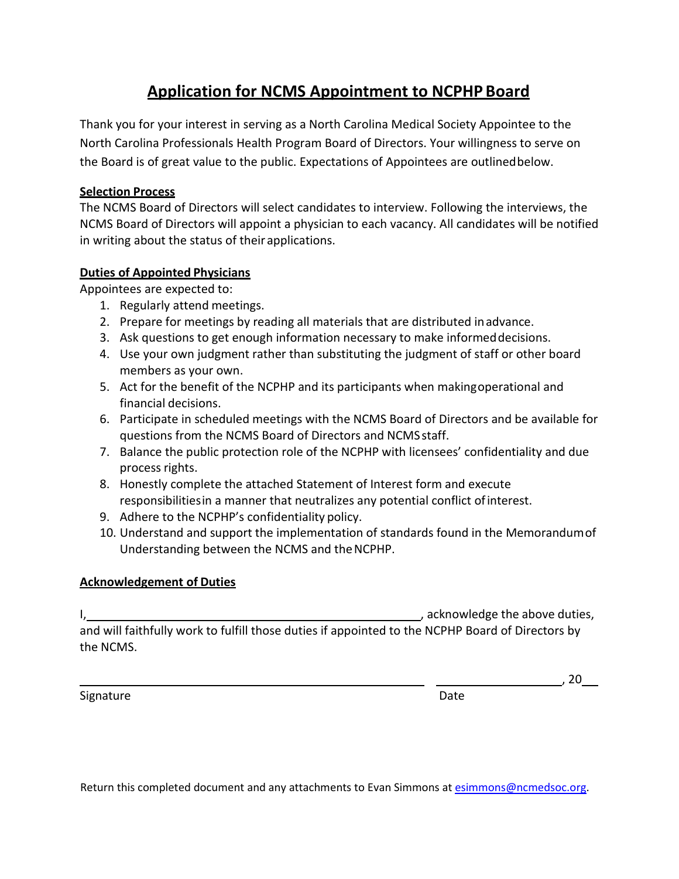# **Application for NCMS Appointment to NCPHP Board**

Thank you for your interest in serving as a North Carolina Medical Society Appointee to the North Carolina Professionals Health Program Board of Directors. Your willingness to serve on the Board is of great value to the public. Expectations of Appointees are outlinedbelow.

## **Selection Process**

The NCMS Board of Directors will select candidates to interview. Following the interviews, the NCMS Board of Directors will appoint a physician to each vacancy. All candidates will be notified in writing about the status of their applications.

### **Duties of Appointed Physicians**

Appointees are expected to:

- 1. Regularly attend meetings.
- 2. Prepare for meetings by reading all materials that are distributed inadvance.
- 3. Ask questions to get enough information necessary to make informeddecisions.
- 4. Use your own judgment rather than substituting the judgment of staff or other board members as your own.
- 5. Act for the benefit of the NCPHP and its participants when makingoperational and financial decisions.
- 6. Participate in scheduled meetings with the NCMS Board of Directors and be available for questions from the NCMS Board of Directors and NCMSstaff.
- 7. Balance the public protection role of the NCPHP with licensees' confidentiality and due process rights.
- 8. Honestly complete the attached Statement of Interest form and execute responsibilitiesin a manner that neutralizes any potential conflict ofinterest.
- 9. Adhere to the NCPHP's confidentiality policy.
- 10. Understand and support the implementation of standards found in the Memorandumof Understanding between the NCMS and theNCPHP.

## **Acknowledgement of Duties**

I, , acknowledge the above duties, and will faithfully work to fulfill those duties if appointed to the NCPHP Board of Directors by the NCMS.

Signature Date Date

, 20

Return this completed document and any attachments to Evan Simmons at [esimmons@ncmedsoc.org.](mailto:esimmons@ncmedsoc.org)